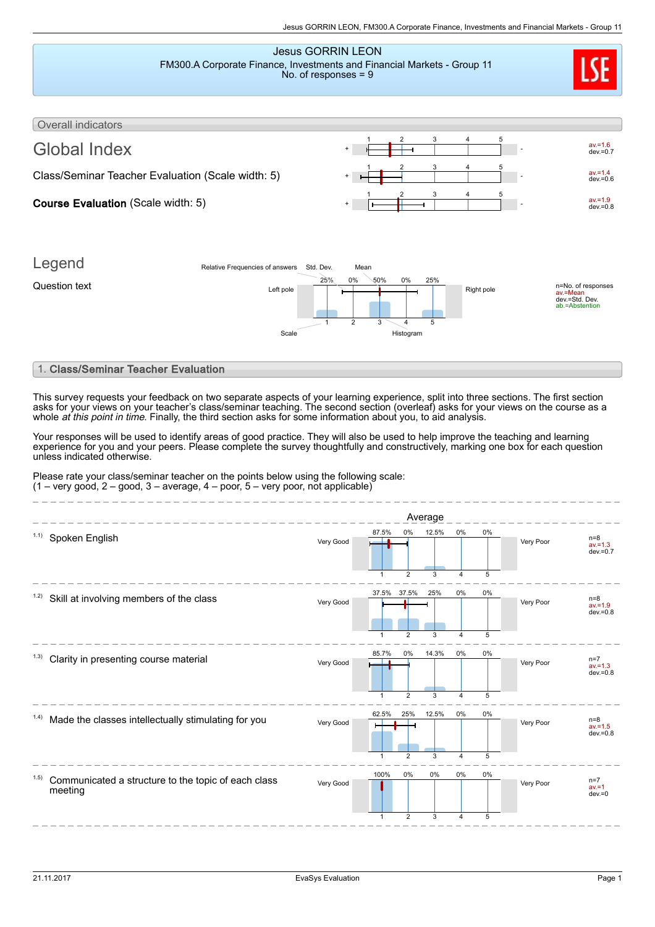### Jesus GORRIN LEON FM300.A Corporate Finance, Investments and Financial Markets - Group 11 No. of responses = 9



## Overall indicators Global Index  $\cdot$   $\frac{1}{1}$   $\frac{2}{1}$   $\frac{3}{1}$   $\frac{4}{1}$   $\frac{5}{1}$  $av.=1.6$ <br>dev.=0.7 1 2 3 4 5 Class/Seminar Teacher Evaluation (Scale width: 5)  $\begin{array}{c|c}\n+ & - & - & - & - \\
\hline\n+ & - & - & - & - \\
\hline\n- & - & - & - & - \\
\hline\n- & - & - & - & - \\
\hline\n- & - & - & - & - \\
\hline\n- & - & - & - & - \\
\hline\n- & - & - & - & - \\
\hline\n- & - & - & - & - \\
\hline\n- & - & - & - & - \\
\hline\n- & - & - & - & - \\
\hline\n- & - & - & - & - \\
\hline\n- & - & - &$ dev.=0.6 <sup>+</sup> - 1 2 3 4 5 Course Evaluation (Scale width: 5)  $av.=1.9$  dev.=0.8 1 2 3 4 5



# 1. Class/Seminar Teacher Evaluation

This survey requests your feedback on two separate aspects of your learning experience, split into three sections. The first section asks for your views on your teacher's class/seminar teaching. The second section (overleaf) asks for your views on the course as a whole *at this point in time*. Finally, the third section asks for some information about you, to aid analysis.

Your responses will be used to identify areas of good practice. They will also be used to help improve the teaching and learning experience for you and your peers. Please complete the survey thoughtfully and constructively, marking one box for each question unless indicated otherwise.

Please rate your class/seminar teacher on the points below using the following scale:  $(1 - \text{very good}, 2 - \text{good}, 3 - \text{average}, 4 - \text{poor}, 5 - \text{very poor}, \text{not applicable})$ 

|                                                                        |           |                             |                       | Average    |                         |            |           |                                    |
|------------------------------------------------------------------------|-----------|-----------------------------|-----------------------|------------|-------------------------|------------|-----------|------------------------------------|
| 1.1)<br>Spoken English                                                 | Very Good | 87.5%                       | 0%                    | 12.5%      | $0\%$                   | 0%         | Very Poor | $n=8$<br>$av = 1.3$<br>$dev = 0.7$ |
| 1.2)<br>Skill at involving members of the class                        | Very Good | $\mathbf{1}$<br>37.5% 37.5% | $\overline{2}$        | 3<br>25%   | 4<br>$0\%$              | 5<br>$0\%$ | Very Poor | $n=8$<br>$av = 1.9$                |
|                                                                        |           |                             | $\overline{2}$        | 3          | Δ                       | 5          |           | $dev = 0.8$                        |
| (1.3)<br>Clarity in presenting course material                         | Very Good | 85.7%                       | 0%                    | 14.3%      | $0\%$                   | $0\%$      | Very Poor | n=7<br>av.=1.3<br>$dev = 0.8$      |
| Made the classes intellectually stimulating for you<br>(1.4)           | Very Good | $\mathbf{1}$<br>62.5%       | $\overline{2}$<br>25% | 3<br>12.5% | 4<br>$0\%$              | 5<br>0%    | Very Poor | $n=8$<br>$av = 1.5$<br>$dev = 0.8$ |
|                                                                        |           | $\mathbf{1}$<br>100%        | $\overline{2}$<br>0%  | 3<br>0%    | $\overline{4}$<br>$0\%$ | 5<br>0%    |           |                                    |
| 1.5)<br>Communicated a structure to the topic of each class<br>meeting | Very Good | $\mathbf{1}$                | $\overline{2}$        | 3          | 4                       | 5          | Very Poor | $n=7$<br>$av = 1$<br>$dev = 0$     |
|                                                                        |           |                             |                       |            |                         |            |           |                                    |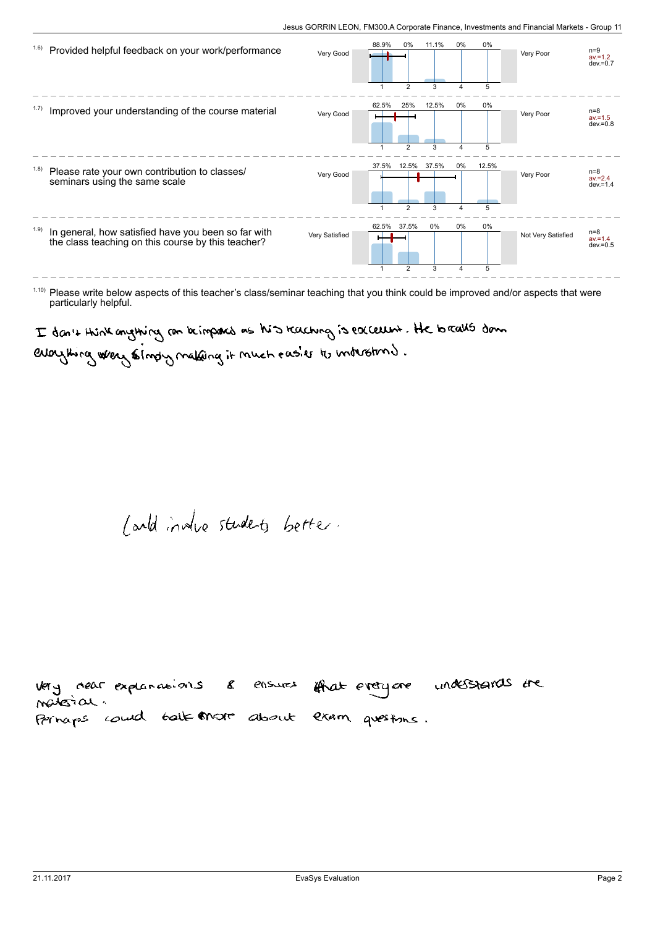| 1.6)  | Provided helpful feedback on your work/performance                                                        | Very Good      | 88.9% | 0%                                        | 11.1%           | 0%         | 0%<br>5         | Very Poor          | $n=9$<br>$av = 1.2$<br>$dev = 0.7$ |
|-------|-----------------------------------------------------------------------------------------------------------|----------------|-------|-------------------------------------------|-----------------|------------|-----------------|--------------------|------------------------------------|
| 1.7)  | Improved your understanding of the course material                                                        | Very Good      | 62.5% | 25%                                       | 12.5%           | 0%         | 0%              | Very Poor          | $n=8$<br>$av = 1.5$<br>$dev = 0.8$ |
| (1.8) | Please rate your own contribution to classes/<br>seminars using the same scale                            | Very Good      | 37.5% | $\overline{2}$<br>12.5%<br>$\overline{2}$ | 3<br>37.5%<br>3 | $0\%$<br>Δ | 5<br>12.5%<br>5 | Very Poor          | $n=8$<br>$av = 2.4$<br>$dev = 1.4$ |
| 1.9)  | In general, how satisfied have you been so far with<br>the class teaching on this course by this teacher? | Very Satisfied | 62.5% | 37.5%<br>$\overline{2}$                   | 0%<br>3         | $0\%$      | 0%<br>5         | Not Very Satisfied | $n=8$<br>$av = 1.4$<br>$dev = 0.5$ |

 $1.10$ ) Please write below aspects of this teacher's class/seminar teaching that you think could be improved and/or aspects that were particularly helpful.

I don't think anything con beimpored as his teaching is excelled. He to realls down

everything where simply making it much easier to industring.

/ and invite studets better.

very near explanations & ensures iffrat everyone understands the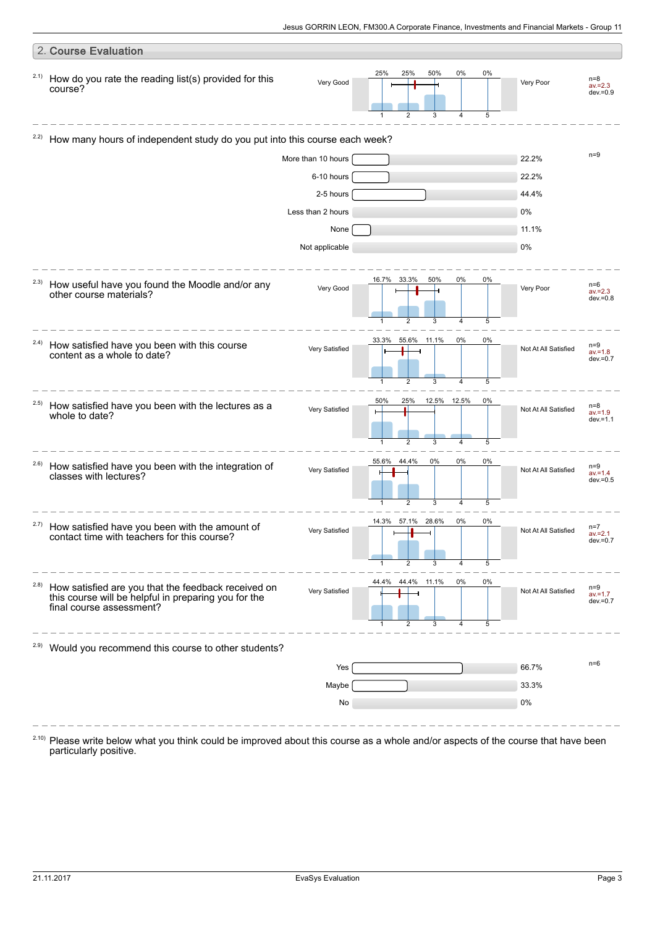|       | 2. Course Evaluation                                                                                                                    |                    |                                                                  |         |                      |                                    |
|-------|-----------------------------------------------------------------------------------------------------------------------------------------|--------------------|------------------------------------------------------------------|---------|----------------------|------------------------------------|
| 2.1)  | How do you rate the reading list(s) provided for this<br>course?                                                                        | Very Good          | 0%<br>25%<br>25%<br>50%<br>$\overline{2}$<br>3<br>$\overline{4}$ | 0%<br>5 | Very Poor            | $n=8$<br>$av = 2.3$<br>$dev = 0.9$ |
| 2.2)  | How many hours of independent study do you put into this course each week?                                                              |                    |                                                                  |         |                      |                                    |
|       |                                                                                                                                         | More than 10 hours |                                                                  |         | 22.2%                | $n=9$                              |
|       |                                                                                                                                         | 6-10 hours         |                                                                  |         | 22.2%                |                                    |
|       |                                                                                                                                         | 2-5 hours          |                                                                  |         | 44.4%                |                                    |
|       |                                                                                                                                         | Less than 2 hours  |                                                                  |         | 0%                   |                                    |
|       |                                                                                                                                         | None               |                                                                  |         | 11.1%                |                                    |
|       |                                                                                                                                         | Not applicable     |                                                                  |         | 0%                   |                                    |
| 2.3)  | How useful have you found the Moodle and/or any<br>other course materials?                                                              | Very Good          | 50%<br>0%<br>16.7%<br>33.3%<br>2<br>3<br>4                       | 0%<br>5 | Very Poor            | $n=6$<br>$av = 2.3$<br>$dev = 0.8$ |
| 2.4)  | How satisfied have you been with this course<br>content as a whole to date?                                                             | Very Satisfied     | 33.3%<br>0%<br>55.6% 11.1%<br>2<br>3<br>1<br>$\overline{4}$      | 0%<br>5 | Not At All Satisfied | $n=9$<br>$av = 1.8$<br>$dev = 0.7$ |
| 2.5)  | How satisfied have you been with the lectures as a<br>whole to date?                                                                    | Very Satisfied     | 50%<br>25%<br>12.5% 12.5%<br>$\overline{2}$<br>3<br>4            | 0%<br>5 | Not At All Satisfied | $n=8$<br>$av = 1.9$<br>$dev = 1.1$ |
| 2.6)  | How satisfied have you been with the integration of<br>classes with lectures?                                                           | Very Satisfied     | 55.6%<br>44.4%<br>0%<br>0%<br>3<br>2<br>4                        | 0%<br>5 | Not At All Satisfied | $n=9$<br>$av = 1.4$<br>$dev = 0.5$ |
| 2.7)  | How satisfied have you been with the amount of<br>contact time with teachers for this course?                                           | Very Satisfied     | 14.3% 57.1% 28.6%<br>0%<br>2<br>3<br>4<br>-1                     | 0%<br>5 | Not At All Satisfied | $n=7$<br>$av = 2.1$<br>$qeV = 0.7$ |
| (2.8) | How satisfied are you that the feedback received on<br>this course will be helpful in preparing you for the<br>final course assessment? | Very Satisfied     | 44.4% 11.1%<br>44.4%<br>0%<br>$\overline{2}$<br>3<br>4<br>1      | 0%<br>5 | Not At All Satisfied | $n=9$<br>$av = 1.7$<br>$dev = 0.7$ |
| 2.9)  | Would you recommend this course to other students?                                                                                      |                    |                                                                  |         |                      |                                    |
|       |                                                                                                                                         | Yes                |                                                                  |         | 66.7%                | $n=6$                              |
|       |                                                                                                                                         | Maybe              |                                                                  |         | 33.3%                |                                    |
|       |                                                                                                                                         | No                 |                                                                  |         | 0%                   |                                    |
|       |                                                                                                                                         |                    |                                                                  |         |                      |                                    |

Please write below what you think could be improved about this course as a whole and/or aspects of the course that have been particularly positive. 2.10)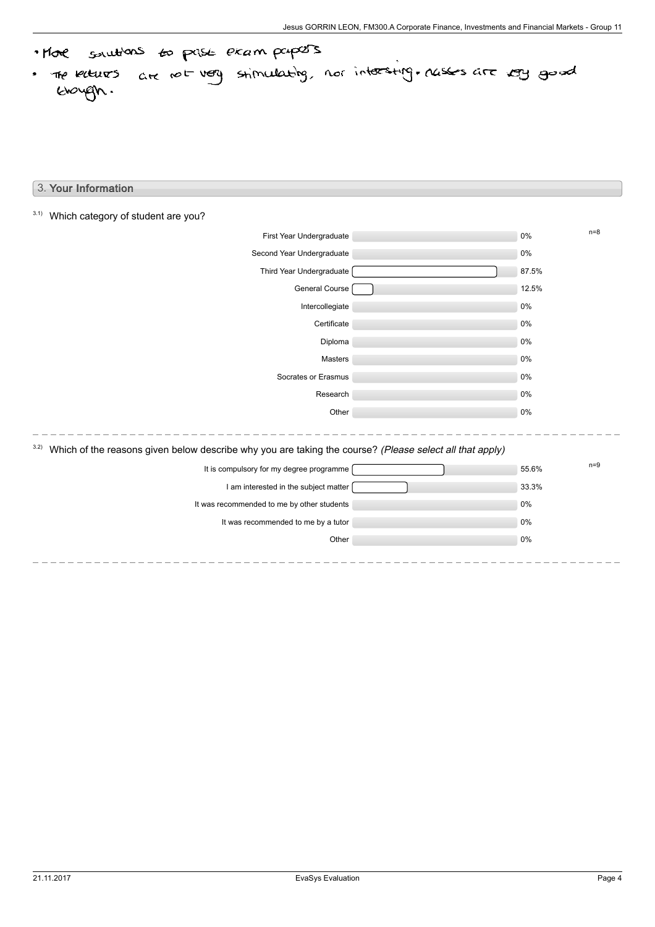· More solutions to prise exam papers the kiturs are not very stimulating, nor intersting, rasses are very good .

# 3. Your Information

| 3.1)<br>Which category of student are you? |                                                                                                         |       |       |
|--------------------------------------------|---------------------------------------------------------------------------------------------------------|-------|-------|
|                                            | First Year Undergraduate                                                                                | $0\%$ | $n=8$ |
|                                            | Second Year Undergraduate                                                                               | 0%    |       |
|                                            | Third Year Undergraduate                                                                                | 87.5% |       |
|                                            | General Course                                                                                          | 12.5% |       |
|                                            | Intercollegiate                                                                                         | $0\%$ |       |
|                                            | Certificate                                                                                             | 0%    |       |
|                                            | Diploma                                                                                                 | $0\%$ |       |
|                                            | Masters                                                                                                 | 0%    |       |
|                                            | Socrates or Erasmus                                                                                     | 0%    |       |
|                                            | Research                                                                                                | $0\%$ |       |
|                                            | Other                                                                                                   | 0%    |       |
| 3.2)                                       | Which of the reasons given below describe why you are taking the course? (Please select all that apply) |       |       |
|                                            | It is compulsory for my degree programme                                                                | 55.6% | $n=9$ |
|                                            | I am interested in the subject matter                                                                   | 33.3% |       |
|                                            | It was recommended to me by other students                                                              | 0%    |       |
|                                            | It was recommended to me by a tutor                                                                     | 0%    |       |
|                                            | Other                                                                                                   | $0\%$ |       |
|                                            |                                                                                                         |       |       |